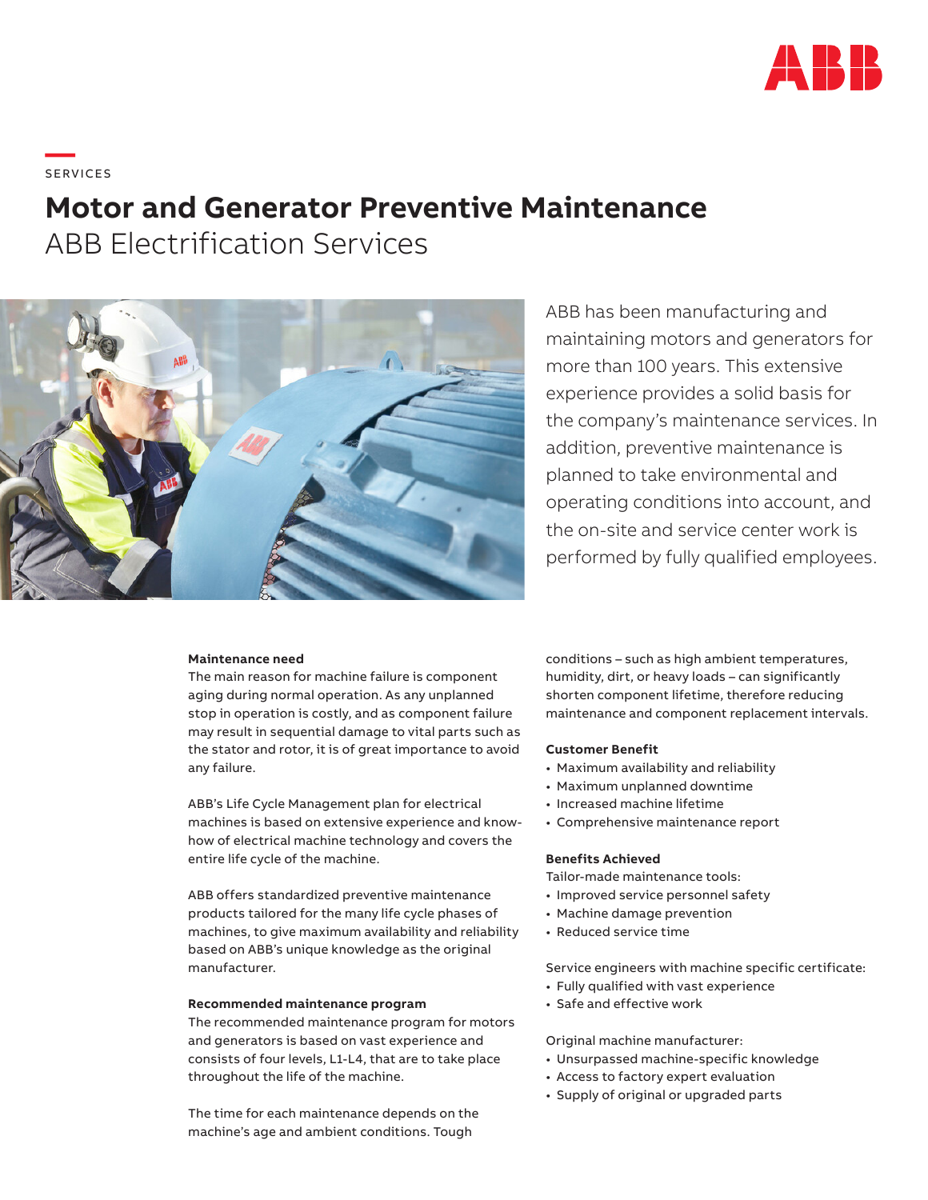

**—**  S ERV I CE S

# **Motor and Generator Preventive Maintenance**

ABB Electrification Services



ABB has been manufacturing and maintaining motors and generators for more than 100 years. This extensive experience provides a solid basis for the company's maintenance services. In addition, preventive maintenance is planned to take environmental and operating conditions into account, and the on-site and service center work is performed by fully qualified employees.

#### **Maintenance need**

The main reason for machine failure is component aging during normal operation. As any unplanned stop in operation is costly, and as component failure may result in sequential damage to vital parts such as the stator and rotor, it is of great importance to avoid any failure.

ABB's Life Cycle Management plan for electrical machines is based on extensive experience and knowhow of electrical machine technology and covers the entire life cycle of the machine.

ABB offers standardized preventive maintenance products tailored for the many life cycle phases of machines, to give maximum availability and reliability based on ABB's unique knowledge as the original manufacturer.

#### **Recommended maintenance program**

The recommended maintenance program for motors and generators is based on vast experience and consists of four levels, L1-L4, that are to take place throughout the life of the machine.

The time for each maintenance depends on the machine's age and ambient conditions. Tough

conditions – such as high ambient temperatures, humidity, dirt, or heavy loads – can significantly shorten component lifetime, therefore reducing maintenance and component replacement intervals.

# **Customer Benefit**

- Maximum availability and reliability
- Maximum unplanned downtime
- Increased machine lifetime
- Comprehensive maintenance report

#### **Benefits Achieved**

Tailor-made maintenance tools:

- Improved service personnel safety
- Machine damage prevention
- Reduced service time

Service engineers with machine specific certificate:

- Fully qualified with vast experience
- Safe and effective work

## Original machine manufacturer:

- Unsurpassed machine-specific knowledge
- Access to factory expert evaluation
- Supply of original or upgraded parts